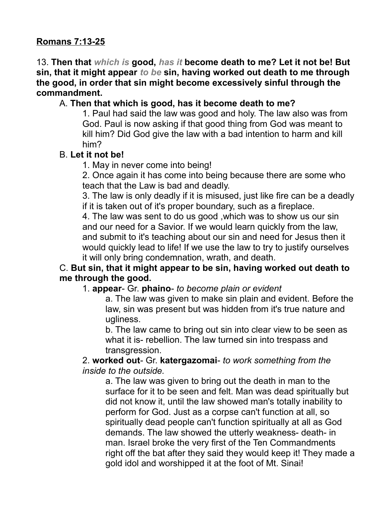### **Romans 7:13-25**

13. **Then that** *which is* **good,** *has it* **become death to me? Let it not be! But sin, that it might appear** *to be* **sin, having worked out death to me through the good, in order that sin might become excessively sinful through the commandment.**

#### A. **Then that which is good, has it become death to me?**

1. Paul had said the law was good and holy. The law also was from God. Paul is now asking if that good thing from God was meant to kill him? Did God give the law with a bad intention to harm and kill him?

#### B. **Let it not be!**

1. May in never come into being!

2. Once again it has come into being because there are some who teach that the Law is bad and deadly.

3. The law is only deadly if it is misused, just like fire can be a deadly if it is taken out of it's proper boundary, such as a fireplace.

4. The law was sent to do us good ,which was to show us our sin and our need for a Savior. If we would learn quickly from the law, and submit to it's teaching about our sin and need for Jesus then it would quickly lead to life! If we use the law to try to justify ourselves it will only bring condemnation, wrath, and death.

### C. **But sin, that it might appear to be sin, having worked out death to me through the good.**

#### 1. **appear**- Gr. **phaino**- *to become plain or evident*

a. The law was given to make sin plain and evident. Before the law, sin was present but was hidden from it's true nature and ugliness.

b. The law came to bring out sin into clear view to be seen as what it is- rebellion. The law turned sin into trespass and transgression.

2. **worked out**- Gr. **katergazomai**- *to work something from the inside to the outside.* 

a. The law was given to bring out the death in man to the surface for it to be seen and felt. Man was dead spiritually but did not know it, until the law showed man's totally inability to perform for God. Just as a corpse can't function at all, so spiritually dead people can't function spiritually at all as God demands. The law showed the utterly weakness- death- in man. Israel broke the very first of the Ten Commandments right off the bat after they said they would keep it! They made a gold idol and worshipped it at the foot of Mt. Sinai!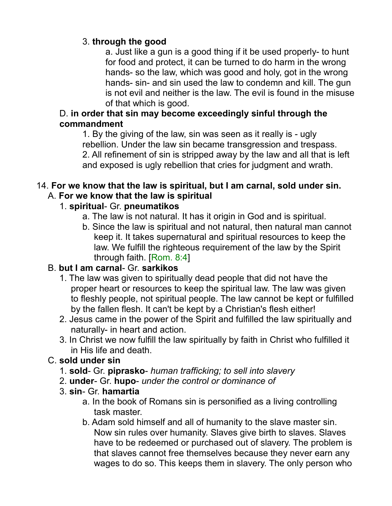### 3. **through the good**

a. Just like a gun is a good thing if it be used properly- to hunt for food and protect, it can be turned to do harm in the wrong hands- so the law, which was good and holy, got in the wrong hands- sin- and sin used the law to condemn and kill. The gun is not evil and neither is the law. The evil is found in the misuse of that which is good.

### D. **in order that sin may become exceedingly sinful through the commandment**

1. By the giving of the law, sin was seen as it really is - ugly rebellion. Under the law sin became transgression and trespass. 2. All refinement of sin is stripped away by the law and all that is left and exposed is ugly rebellion that cries for judgment and wrath.

#### 14. **For we know that the law is spiritual, but I am carnal, sold under sin.**  A. **For we know that the law is spiritual**

## 1. **spiritual**- Gr. **pneumatikos**

- a. The law is not natural. It has it origin in God and is spiritual.
- b. Since the law is spiritual and not natural, then natural man cannot keep it. It takes supernatural and spiritual resources to keep the law. We fulfill the righteous requirement of the law by the Spirit through faith. [Rom. 8:4]

## B. **but I am carnal**- Gr. **sarkikos**

- 1. The law was given to spiritually dead people that did not have the proper heart or resources to keep the spiritual law. The law was given to fleshly people, not spiritual people. The law cannot be kept or fulfilled by the fallen flesh. It can't be kept by a Christian's flesh either!
- 2. Jesus came in the power of the Spirit and fulfilled the law spiritually and naturally- in heart and action.
- 3. In Christ we now fulfill the law spiritually by faith in Christ who fulfilled it in His life and death.

## C. **sold under sin**

- 1. **sold** Gr. **piprasko** *human trafficking; to sell into slavery*
- 2. **under** Gr. **hupo** *under the control or dominance of*
- 3. **sin** Gr. **hamartia**
	- a. In the book of Romans sin is personified as a living controlling task master.
	- b. Adam sold himself and all of humanity to the slave master sin. Now sin rules over humanity. Slaves give birth to slaves. Slaves have to be redeemed or purchased out of slavery. The problem is that slaves cannot free themselves because they never earn any wages to do so. This keeps them in slavery. The only person who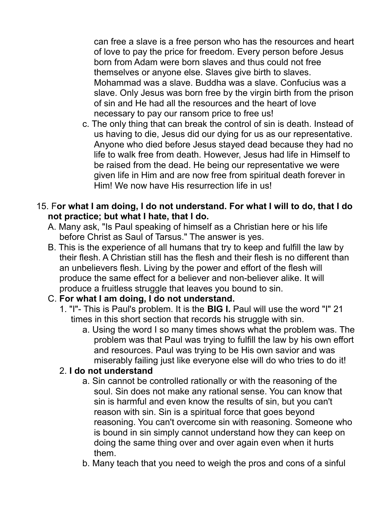can free a slave is a free person who has the resources and heart of love to pay the price for freedom. Every person before Jesus born from Adam were born slaves and thus could not free themselves or anyone else. Slaves give birth to slaves. Mohammad was a slave. Buddha was a slave. Confucius was a slave. Only Jesus was born free by the virgin birth from the prison of sin and He had all the resources and the heart of love necessary to pay our ransom price to free us!

- c. The only thing that can break the control of sin is death. Instead of us having to die, Jesus did our dying for us as our representative. Anyone who died before Jesus stayed dead because they had no life to walk free from death. However, Jesus had life in Himself to be raised from the dead. He being our representative we were given life in Him and are now free from spiritual death forever in Him! We now have His resurrection life in us!
- 15. F**or what I am doing, I do not understand. For what I will to do, that I do not practice; but what I hate, that I do.** 
	- A. Many ask, "Is Paul speaking of himself as a Christian here or his life before Christ as Saul of Tarsus." The answer is yes.
	- B. This is the experience of all humans that try to keep and fulfill the law by their flesh. A Christian still has the flesh and their flesh is no different than an unbelievers flesh. Living by the power and effort of the flesh will produce the same effect for a believer and non-believer alike. It will produce a fruitless struggle that leaves you bound to sin.

## C. **For what I am doing, I do not understand.**

- 1. "I"- This is Paul's problem. It is the **BIG I.** Paul will use the word "I" 21 times in this short section that records his struggle with sin.
	- a. Using the word I so many times shows what the problem was. The problem was that Paul was trying to fulfill the law by his own effort and resources. Paul was trying to be His own savior and was miserably failing just like everyone else will do who tries to do it!

## 2. **I do not understand**

- a. Sin cannot be controlled rationally or with the reasoning of the soul. Sin does not make any rational sense. You can know that sin is harmful and even know the results of sin, but you can't reason with sin. Sin is a spiritual force that goes beyond reasoning. You can't overcome sin with reasoning. Someone who is bound in sin simply cannot understand how they can keep on doing the same thing over and over again even when it hurts them.
- b. Many teach that you need to weigh the pros and cons of a sinful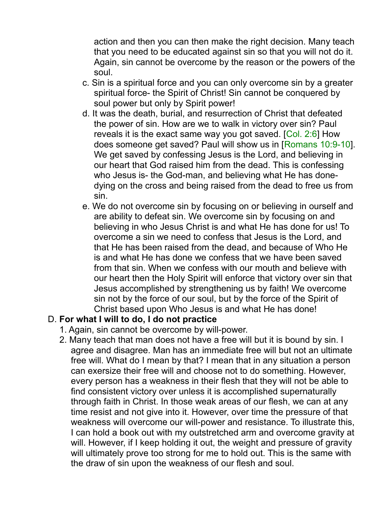action and then you can then make the right decision. Many teach that you need to be educated against sin so that you will not do it. Again, sin cannot be overcome by the reason or the powers of the soul.

- c. Sin is a spiritual force and you can only overcome sin by a greater spiritual force- the Spirit of Christ! Sin cannot be conquered by soul power but only by Spirit power!
- d. It was the death, burial, and resurrection of Christ that defeated the power of sin. How are we to walk in victory over sin? Paul reveals it is the exact same way you got saved. [Col. 2:6] How does someone get saved? Paul will show us in [Romans 10:9-10]. We get saved by confessing Jesus is the Lord, and believing in our heart that God raised him from the dead. This is confessing who Jesus is- the God-man, and believing what He has donedying on the cross and being raised from the dead to free us from sin.
- e. We do not overcome sin by focusing on or believing in ourself and are ability to defeat sin. We overcome sin by focusing on and believing in who Jesus Christ is and what He has done for us! To overcome a sin we need to confess that Jesus is the Lord, and that He has been raised from the dead, and because of Who He is and what He has done we confess that we have been saved from that sin. When we confess with our mouth and believe with our heart then the Holy Spirit will enforce that victory over sin that Jesus accomplished by strengthening us by faith! We overcome sin not by the force of our soul, but by the force of the Spirit of Christ based upon Who Jesus is and what He has done!

### D. **For what I will to do, I do not practice**

- 1. Again, sin cannot be overcome by will-power.
- 2. Many teach that man does not have a free will but it is bound by sin. I agree and disagree. Man has an immediate free will but not an ultimate free will. What do I mean by that? I mean that in any situation a person can exersize their free will and choose not to do something. However, every person has a weakness in their flesh that they will not be able to find consistent victory over unless it is accomplished supernaturally through faith in Christ. In those weak areas of our flesh, we can at any time resist and not give into it. However, over time the pressure of that weakness will overcome our will-power and resistance. To illustrate this, I can hold a book out with my outstretched arm and overcome gravity at will. However, if I keep holding it out, the weight and pressure of gravity will ultimately prove too strong for me to hold out. This is the same with the draw of sin upon the weakness of our flesh and soul.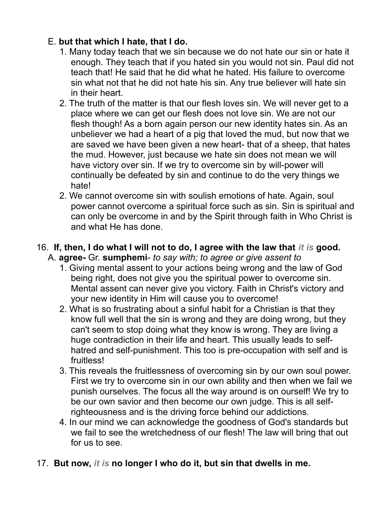## E. **but that which I hate, that I do.**

- 1. Many today teach that we sin because we do not hate our sin or hate it enough. They teach that if you hated sin you would not sin. Paul did not teach that! He said that he did what he hated. His failure to overcome sin what not that he did not hate his sin. Any true believer will hate sin in their heart.
- 2. The truth of the matter is that our flesh loves sin. We will never get to a place where we can get our flesh does not love sin. We are not our flesh though! As a born again person our new identity hates sin. As an unbeliever we had a heart of a pig that loved the mud, but now that we are saved we have been given a new heart- that of a sheep, that hates the mud. However, just because we hate sin does not mean we will have victory over sin. If we try to overcome sin by will-power will continually be defeated by sin and continue to do the very things we hate!
- 2. We cannot overcome sin with soulish emotions of hate. Again, soul power cannot overcome a spiritual force such as sin. Sin is spiritual and can only be overcome in and by the Spirit through faith in Who Christ is and what He has done.
- 16. **If, then, I do what I will not to do, I agree with the law that** *it is* **good.**  A. **agree-** Gr. **sumphemi**- *to say with; to agree or give assent to*
	- 1. Giving mental assent to your actions being wrong and the law of God being right, does not give you the spiritual power to overcome sin. Mental assent can never give you victory. Faith in Christ's victory and your new identity in Him will cause you to overcome!
	- 2. What is so frustrating about a sinful habit for a Christian is that they know full well that the sin is wrong and they are doing wrong, but they can't seem to stop doing what they know is wrong. They are living a huge contradiction in their life and heart. This usually leads to selfhatred and self-punishment. This too is pre-occupation with self and is fruitless!
	- 3. This reveals the fruitlessness of overcoming sin by our own soul power. First we try to overcome sin in our own ability and then when we fail we punish ourselves. The focus all the way around is on ourself! We try to be our own savior and then become our own judge. This is all selfrighteousness and is the driving force behind our addictions.
	- 4. In our mind we can acknowledge the goodness of God's standards but we fail to see the wretchedness of our flesh! The law will bring that out for us to see.
- 17. **But now,** *it is* **no longer I who do it, but sin that dwells in me.**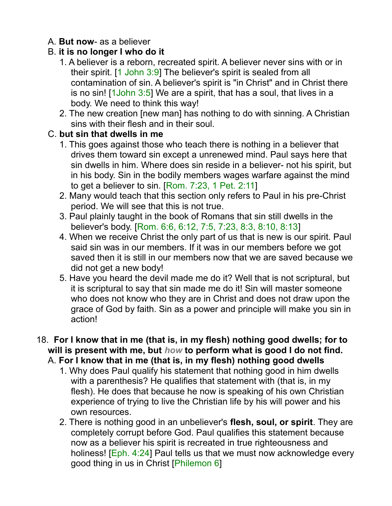### A. **But now**- as a believer

### B. **it is no longer I who do it**

- 1. A believer is a reborn, recreated spirit. A believer never sins with or in their spirit. [1 John 3:9] The believer's spirit is sealed from all contamination of sin. A believer's spirit is "in Christ" and in Christ there is no sin! [1John 3:5] We are a spirit, that has a soul, that lives in a body. We need to think this way!
- 2. The new creation [new man] has nothing to do with sinning. A Christian sins with their flesh and in their soul.

### C. **but sin that dwells in me**

- 1. This goes against those who teach there is nothing in a believer that drives them toward sin except a unrenewed mind. Paul says here that sin dwells in him. Where does sin reside in a believer- not his spirit, but in his body. Sin in the bodily members wages warfare against the mind to get a believer to sin. [Rom. 7:23, 1 Pet. 2:11]
- 2. Many would teach that this section only refers to Paul in his pre-Christ period. We will see that this is not true.
- 3. Paul plainly taught in the book of Romans that sin still dwells in the believer's body. [Rom. 6:6, 6:12, 7:5, 7:23, 8:3, 8:10, 8:13]
- 4. When we receive Christ the only part of us that is new is our spirit. Paul said sin was in our members. If it was in our members before we got saved then it is still in our members now that we are saved because we did not get a new body!
- 5. Have you heard the devil made me do it? Well that is not scriptural, but it is scriptural to say that sin made me do it! Sin will master someone who does not know who they are in Christ and does not draw upon the grace of God by faith. Sin as a power and principle will make you sin in action!
- 18. **For I know that in me (that is, in my flesh) nothing good dwells; for to will is present with me, but** *how* **to perform what is good I do not find.** 
	- A. **For I know that in me (that is, in my flesh) nothing good dwells**
		- 1. Why does Paul qualify his statement that nothing good in him dwells with a parenthesis? He qualifies that statement with (that is, in my flesh). He does that because he now is speaking of his own Christian experience of trying to live the Christian life by his will power and his own resources.
		- 2. There is nothing good in an unbeliever's **flesh, soul, or spirit**. They are completely corrupt before God. Paul qualifies this statement because now as a believer his spirit is recreated in true righteousness and holiness! [Eph. 4:24] Paul tells us that we must now acknowledge every good thing in us in Christ [Philemon 6]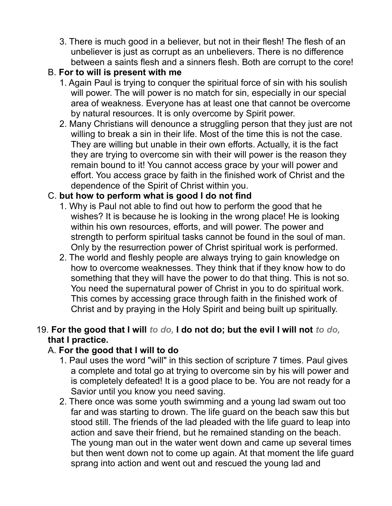3. There is much good in a believer, but not in their flesh! The flesh of an unbeliever is just as corrupt as an unbelievers. There is no difference between a saints flesh and a sinners flesh. Both are corrupt to the core!

## B. **For to will is present with me**

- 1. Again Paul is trying to conquer the spiritual force of sin with his soulish will power. The will power is no match for sin, especially in our special area of weakness. Everyone has at least one that cannot be overcome by natural resources. It is only overcome by Spirit power.
- 2. Many Christians will denounce a struggling person that they just are not willing to break a sin in their life. Most of the time this is not the case. They are willing but unable in their own efforts. Actually, it is the fact they are trying to overcome sin with their will power is the reason they remain bound to it! You cannot access grace by your will power and effort. You access grace by faith in the finished work of Christ and the dependence of the Spirit of Christ within you.

## C. **but how to perform what is good I do not find**

- 1. Why is Paul not able to find out how to perform the good that he wishes? It is because he is looking in the wrong place! He is looking within his own resources, efforts, and will power. The power and strength to perform spiritual tasks cannot be found in the soul of man. Only by the resurrection power of Christ spiritual work is performed.
- 2. The world and fleshly people are always trying to gain knowledge on how to overcome weaknesses. They think that if they know how to do something that they will have the power to do that thing. This is not so. You need the supernatural power of Christ in you to do spiritual work. This comes by accessing grace through faith in the finished work of Christ and by praying in the Holy Spirit and being built up spiritually.

### 19. **For the good that I will** *to do,* **I do not do; but the evil I will not** *to do,* **that I practice.**

## A. **For the good that I will to do**

- 1. Paul uses the word "will" in this section of scripture 7 times. Paul gives a complete and total go at trying to overcome sin by his will power and is completely defeated! It is a good place to be. You are not ready for a Savior until you know you need saving.
- 2. There once was some youth swimming and a young lad swam out too far and was starting to drown. The life guard on the beach saw this but stood still. The friends of the lad pleaded with the life guard to leap into action and save their friend, but he remained standing on the beach. The young man out in the water went down and came up several times but then went down not to come up again. At that moment the life guard sprang into action and went out and rescued the young lad and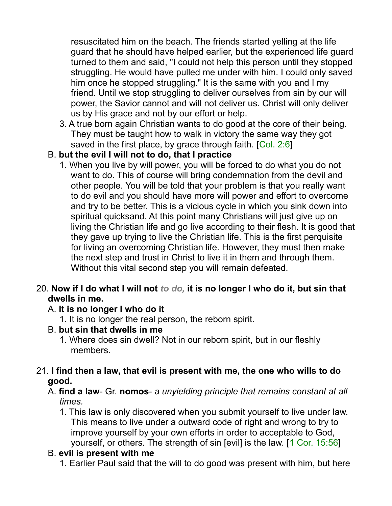resuscitated him on the beach. The friends started yelling at the life guard that he should have helped earlier, but the experienced life guard turned to them and said, "I could not help this person until they stopped struggling. He would have pulled me under with him. I could only saved him once he stopped struggling." It is the same with you and I my friend. Until we stop struggling to deliver ourselves from sin by our will power, the Savior cannot and will not deliver us. Christ will only deliver us by His grace and not by our effort or help.

3. A true born again Christian wants to do good at the core of their being. They must be taught how to walk in victory the same way they got saved in the first place, by grace through faith. [Col. 2:6]

### B. **but the evil I will not to do, that I practice**

1. When you live by will power, you will be forced to do what you do not want to do. This of course will bring condemnation from the devil and other people. You will be told that your problem is that you really want to do evil and you should have more will power and effort to overcome and try to be better. This is a vicious cycle in which you sink down into spiritual quicksand. At this point many Christians will just give up on living the Christian life and go live according to their flesh. It is good that they gave up trying to live the Christian life. This is the first perquisite for living an overcoming Christian life. However, they must then make the next step and trust in Christ to live it in them and through them. Without this vital second step you will remain defeated.

### 20. **Now if I do what I will not** *to do,* **it is no longer I who do it, but sin that dwells in me.**

### A. **It is no longer I who do it**

- 1. It is no longer the real person, the reborn spirit.
- B. **but sin that dwells in me**
	- 1. Where does sin dwell? Not in our reborn spirit, but in our fleshly members.

### 21. **I find then a law, that evil is present with me, the one who wills to do good.**

- A. **find a law** Gr. **nomos** *a unyielding principle that remains constant at all times.*
	- 1. This law is only discovered when you submit yourself to live under law. This means to live under a outward code of right and wrong to try to improve yourself by your own efforts in order to acceptable to God, yourself, or others. The strength of sin [evil] is the law. [1 Cor. 15:56]

#### B. **evil is present with me**

1. Earlier Paul said that the will to do good was present with him, but here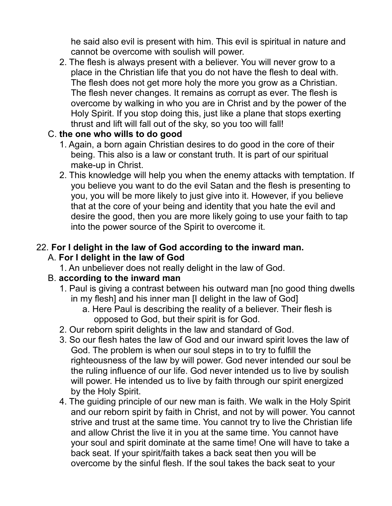he said also evil is present with him. This evil is spiritual in nature and cannot be overcome with soulish will power.

2. The flesh is always present with a believer. You will never grow to a place in the Christian life that you do not have the flesh to deal with. The flesh does not get more holy the more you grow as a Christian. The flesh never changes. It remains as corrupt as ever. The flesh is overcome by walking in who you are in Christ and by the power of the Holy Spirit. If you stop doing this, just like a plane that stops exerting thrust and lift will fall out of the sky, so you too will fall!

### C. **the one who wills to do good**

- 1. Again, a born again Christian desires to do good in the core of their being. This also is a law or constant truth. It is part of our spiritual make-up in Christ.
- 2. This knowledge will help you when the enemy attacks with temptation. If you believe you want to do the evil Satan and the flesh is presenting to you, you will be more likely to just give into it. However, if you believe that at the core of your being and identity that you hate the evil and desire the good, then you are more likely going to use your faith to tap into the power source of the Spirit to overcome it.

#### 22. **For I delight in the law of God according to the inward man.**  A. **For I delight in the law of God**

1. An unbeliever does not really delight in the law of God.

## B. **according to the inward man**

- 1. Paul is giving a contrast between his outward man [no good thing dwells in my flesh] and his inner man [I delight in the law of God]
	- a. Here Paul is describing the reality of a believer. Their flesh is opposed to God, but their spirit is for God.
- 2. Our reborn spirit delights in the law and standard of God.
- 3. So our flesh hates the law of God and our inward spirit loves the law of God. The problem is when our soul steps in to try to fulfill the righteousness of the law by will power. God never intended our soul be the ruling influence of our life. God never intended us to live by soulish will power. He intended us to live by faith through our spirit energized by the Holy Spirit.
- 4. The guiding principle of our new man is faith. We walk in the Holy Spirit and our reborn spirit by faith in Christ, and not by will power. You cannot strive and trust at the same time. You cannot try to live the Christian life and allow Christ the live it in you at the same time. You cannot have your soul and spirit dominate at the same time! One will have to take a back seat. If your spirit/faith takes a back seat then you will be overcome by the sinful flesh. If the soul takes the back seat to your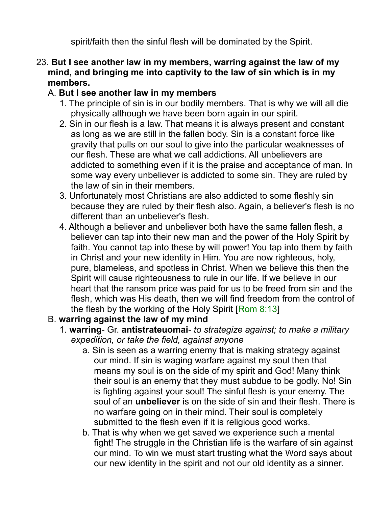spirit/faith then the sinful flesh will be dominated by the Spirit.

### 23. **But I see another law in my members, warring against the law of my mind, and bringing me into captivity to the law of sin which is in my members.**

### A. **But I see another law in my members**

- 1. The principle of sin is in our bodily members. That is why we will all die physically although we have been born again in our spirit.
- 2. Sin in our flesh is a law. That means it is always present and constant as long as we are still in the fallen body. Sin is a constant force like gravity that pulls on our soul to give into the particular weaknesses of our flesh. These are what we call addictions. All unbelievers are addicted to something even if it is the praise and acceptance of man. In some way every unbeliever is addicted to some sin. They are ruled by the law of sin in their members.
- 3. Unfortunately most Christians are also addicted to some fleshly sin because they are ruled by their flesh also. Again, a believer's flesh is no different than an unbeliever's flesh.
- 4. Although a believer and unbeliever both have the same fallen flesh, a believer can tap into their new man and the power of the Holy Spirit by faith. You cannot tap into these by will power! You tap into them by faith in Christ and your new identity in Him. You are now righteous, holy, pure, blameless, and spotless in Christ. When we believe this then the Spirit will cause righteousness to rule in our life. If we believe in our heart that the ransom price was paid for us to be freed from sin and the flesh, which was His death, then we will find freedom from the control of the flesh by the working of the Holy Spirit [Rom 8:13]

### B. **warring against the law of my mind**

- 1. **warring** Gr. **antistrateuomai** *to strategize against; to make a military expedition, or take the field, against anyone*
	- a. Sin is seen as a warring enemy that is making strategy against our mind. If sin is waging warfare against my soul then that means my soul is on the side of my spirit and God! Many think their soul is an enemy that they must subdue to be godly. No! Sin is fighting against your soul! The sinful flesh is your enemy. The soul of an **unbeliever** is on the side of sin and their flesh. There is no warfare going on in their mind. Their soul is completely submitted to the flesh even if it is religious good works.
	- b. That is why when we get saved we experience such a mental fight! The struggle in the Christian life is the warfare of sin against our mind. To win we must start trusting what the Word says about our new identity in the spirit and not our old identity as a sinner.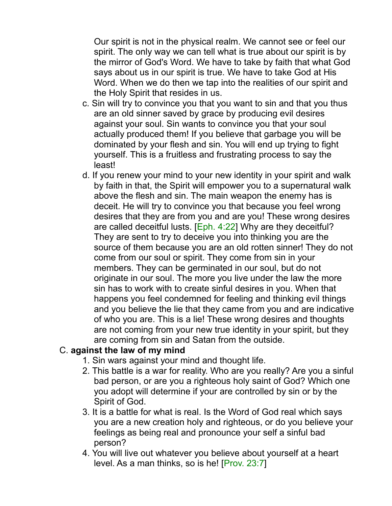Our spirit is not in the physical realm. We cannot see or feel our spirit. The only way we can tell what is true about our spirit is by the mirror of God's Word. We have to take by faith that what God says about us in our spirit is true. We have to take God at His Word. When we do then we tap into the realities of our spirit and the Holy Spirit that resides in us.

- c. Sin will try to convince you that you want to sin and that you thus are an old sinner saved by grace by producing evil desires against your soul. Sin wants to convince you that your soul actually produced them! If you believe that garbage you will be dominated by your flesh and sin. You will end up trying to fight yourself. This is a fruitless and frustrating process to say the least!
- d. If you renew your mind to your new identity in your spirit and walk by faith in that, the Spirit will empower you to a supernatural walk above the flesh and sin. The main weapon the enemy has is deceit. He will try to convince you that because you feel wrong desires that they are from you and are you! These wrong desires are called deceitful lusts. [Eph. 4:22] Why are they deceitful? They are sent to try to deceive you into thinking you are the source of them because you are an old rotten sinner! They do not come from our soul or spirit. They come from sin in your members. They can be germinated in our soul, but do not originate in our soul. The more you live under the law the more sin has to work with to create sinful desires in you. When that happens you feel condemned for feeling and thinking evil things and you believe the lie that they came from you and are indicative of who you are. This is a lie! These wrong desires and thoughts are not coming from your new true identity in your spirit, but they are coming from sin and Satan from the outside.

#### C. **against the law of my mind**

- 1. Sin wars against your mind and thought life.
- 2. This battle is a war for reality. Who are you really? Are you a sinful bad person, or are you a righteous holy saint of God? Which one you adopt will determine if your are controlled by sin or by the Spirit of God.
- 3. It is a battle for what is real. Is the Word of God real which says you are a new creation holy and righteous, or do you believe your feelings as being real and pronounce your self a sinful bad person?
- 4. You will live out whatever you believe about yourself at a heart level. As a man thinks, so is he! [Prov. 23:7]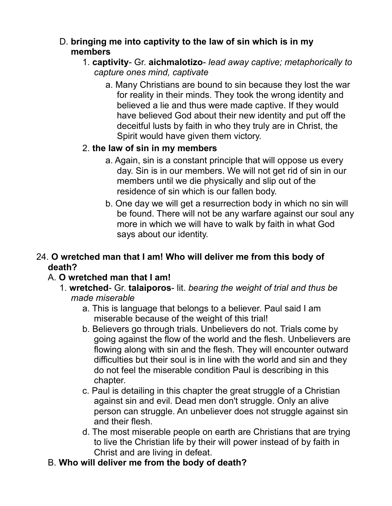### D. **bringing me into captivity to the law of sin which is in my members**

- 1. **captivity** Gr. **aichmalotizo** *lead away captive; metaphorically to capture ones mind, captivate*
	- a. Many Christians are bound to sin because they lost the war for reality in their minds. They took the wrong identity and believed a lie and thus were made captive. If they would have believed God about their new identity and put off the deceitful lusts by faith in who they truly are in Christ, the Spirit would have given them victory.

### 2. **the law of sin in my members**

- a. Again, sin is a constant principle that will oppose us every day. Sin is in our members. We will not get rid of sin in our members until we die physically and slip out of the residence of sin which is our fallen body.
- b. One day we will get a resurrection body in which no sin will be found. There will not be any warfare against our soul any more in which we will have to walk by faith in what God says about our identity.

## 24. **O wretched man that I am! Who will deliver me from this body of death?**

## A. **O wretched man that I am!**

- 1. **wretched** Gr. **talaiporos** lit. *bearing the weight of trial and thus be made miserable*
	- a. This is language that belongs to a believer. Paul said I am miserable because of the weight of this trial!
	- b. Believers go through trials. Unbelievers do not. Trials come by going against the flow of the world and the flesh. Unbelievers are flowing along with sin and the flesh. They will encounter outward difficulties but their soul is in line with the world and sin and they do not feel the miserable condition Paul is describing in this chapter.
	- c. Paul is detailing in this chapter the great struggle of a Christian against sin and evil. Dead men don't struggle. Only an alive person can struggle. An unbeliever does not struggle against sin and their flesh.
	- d. The most miserable people on earth are Christians that are trying to live the Christian life by their will power instead of by faith in Christ and are living in defeat.

# B. **Who will deliver me from the body of death?**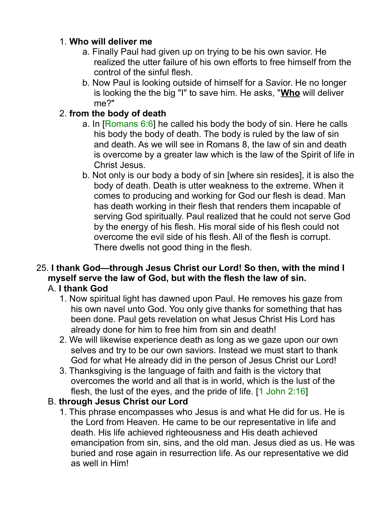## 1. **Who will deliver me**

- a. Finally Paul had given up on trying to be his own savior. He realized the utter failure of his own efforts to free himself from the control of the sinful flesh.
- b. Now Paul is looking outside of himself for a Savior. He no longer is looking the the big "I" to save him. He asks, "**Who** will deliver me?"

## 2. **from the body of death**

- a. In [Romans 6:6] he called his body the body of sin. Here he calls his body the body of death. The body is ruled by the law of sin and death. As we will see in Romans 8, the law of sin and death is overcome by a greater law which is the law of the Spirit of life in Christ Jesus.
- b. Not only is our body a body of sin [where sin resides], it is also the body of death. Death is utter weakness to the extreme. When it comes to producing and working for God our flesh is dead. Man has death working in their flesh that renders them incapable of serving God spiritually. Paul realized that he could not serve God by the energy of his flesh. His moral side of his flesh could not overcome the evil side of his flesh. All of the flesh is corrupt. There dwells not good thing in the flesh.

# 25. **I thank God—through Jesus Christ our Lord! So then, with the mind I myself serve the law of God, but with the flesh the law of sin.**

## A. **I thank God**

- 1. Now spiritual light has dawned upon Paul. He removes his gaze from his own navel unto God. You only give thanks for something that has been done. Paul gets revelation on what Jesus Christ His Lord has already done for him to free him from sin and death!
- 2. We will likewise experience death as long as we gaze upon our own selves and try to be our own saviors. Instead we must start to thank God for what He already did in the person of Jesus Christ our Lord!
- 3. Thanksgiving is the language of faith and faith is the victory that overcomes the world and all that is in world, which is the lust of the flesh, the lust of the eyes, and the pride of life. [1 John 2:16]

## B. **through Jesus Christ our Lord**

1. This phrase encompasses who Jesus is and what He did for us. He is the Lord from Heaven. He came to be our representative in life and death. His life achieved righteousness and His death achieved emancipation from sin, sins, and the old man. Jesus died as us. He was buried and rose again in resurrection life. As our representative we did as well in Him!